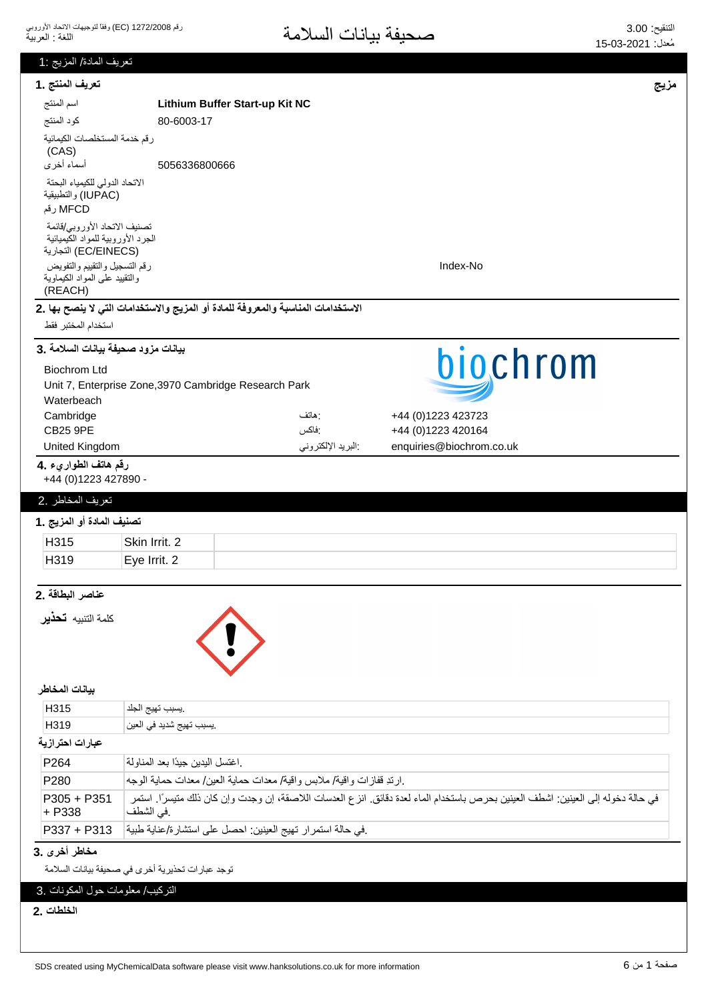| تعريف المادة/ المزيج :1                                                    |                                                                                                                                               |      |  |  |
|----------------------------------------------------------------------------|-----------------------------------------------------------------------------------------------------------------------------------------------|------|--|--|
| تعريف المنتج .1                                                            |                                                                                                                                               | مزيج |  |  |
| اسم المنتج                                                                 | Lithium Buffer Start-up Kit NC                                                                                                                |      |  |  |
| كود المنتج                                                                 | 80-6003-17                                                                                                                                    |      |  |  |
| رقم خدمة المستخلصات الكيمائية<br>(CAS)                                     |                                                                                                                                               |      |  |  |
| أسماء أخرى                                                                 | 5056336800666                                                                                                                                 |      |  |  |
| الاتحاد الدولى للكيمياء البحتة<br>(IUPAC) والتطبيقية<br>MFCD رقم           |                                                                                                                                               |      |  |  |
| تصنيف الاتحاد الأوروبي/قائمة                                               |                                                                                                                                               |      |  |  |
| الجرد الأوروبية للمواد الكيميائية<br>(EC/EINECS) التجارية                  |                                                                                                                                               |      |  |  |
| رقم التسجيل والتقييم والتفويض<br>والنقييد علمى المواد الكيماوية<br>(REACH) | Index-No                                                                                                                                      |      |  |  |
|                                                                            | الاستخدامات المناسبة والمعروفة للمادة أو المزيج والاستخدامات التي لا ينصح بها .2                                                              |      |  |  |
| استخدام المختبر فقط                                                        |                                                                                                                                               |      |  |  |
| بيانات مزود صحيفة بيانات السلامة .3                                        |                                                                                                                                               |      |  |  |
| <b>Biochrom Ltd</b>                                                        | biochrom                                                                                                                                      |      |  |  |
|                                                                            | Unit 7, Enterprise Zone, 3970 Cambridge Research Park                                                                                         |      |  |  |
| Waterbeach<br>Cambridge                                                    | : هاتف<br>+44 (0) 1223 423723                                                                                                                 |      |  |  |
| <b>CB25 9PE</b>                                                            | +44 (0)1223 420164<br>:فاكس                                                                                                                   |      |  |  |
| <b>United Kingdom</b>                                                      | البريد الإلكتروني<br>enquiries@biochrom.co.uk                                                                                                 |      |  |  |
| رقم هاتف الطواريء .4<br>+44 (0)1223 427890 -                               |                                                                                                                                               |      |  |  |
| تعريف المخاطر .2                                                           |                                                                                                                                               |      |  |  |
| تصنيف المادة أو المزيج .1                                                  |                                                                                                                                               |      |  |  |
| H315                                                                       | Skin Irrit. 2                                                                                                                                 |      |  |  |
| H319                                                                       | Eye Irrit. 2                                                                                                                                  |      |  |  |
|                                                                            |                                                                                                                                               |      |  |  |
| عناصر البطاقة .2                                                           |                                                                                                                                               |      |  |  |
| كلمة التنبيه <b>تحذير</b>                                                  |                                                                                                                                               |      |  |  |
| بيانات المخاطر                                                             |                                                                                                                                               |      |  |  |
| H315                                                                       | يسبب تهيج الجلد                                                                                                                               |      |  |  |
| H319                                                                       | .يسبب تهيج شديد في العين                                                                                                                      |      |  |  |
| عبارات احترازية                                                            |                                                                                                                                               |      |  |  |
| P264                                                                       | اغتسل اليدين جيدًا بعد المناولة                                                                                                               |      |  |  |
| P280                                                                       | .ارتدِ قفازات واقية/ ملابس واقية/ معدات حماية العين/ معدات حماية الوجه                                                                        |      |  |  |
| $P305 + P351$<br>+ P338                                                    | في حالة دخوله إلى العينين: اشطف العينين بحرص باستخدام الماء لعدة دقائق. انز ع العدسات اللاصقة، إن وجدت وإن كان ذلك متيسرًا. استمر<br>في الشطف |      |  |  |
| P337 + P313                                                                | .في حالة استمرار تهيج العينين: احصل على استشارة/عناية طبية                                                                                    |      |  |  |
| مخاطر أخرى .3                                                              |                                                                                                                                               |      |  |  |
| توجد عبارات تحذيرية أخرى في صحيفة بيانات السلامة                           |                                                                                                                                               |      |  |  |
| التركيب/ معلومات حول المكونات .3                                           |                                                                                                                                               |      |  |  |
| الخلطات .2                                                                 |                                                                                                                                               |      |  |  |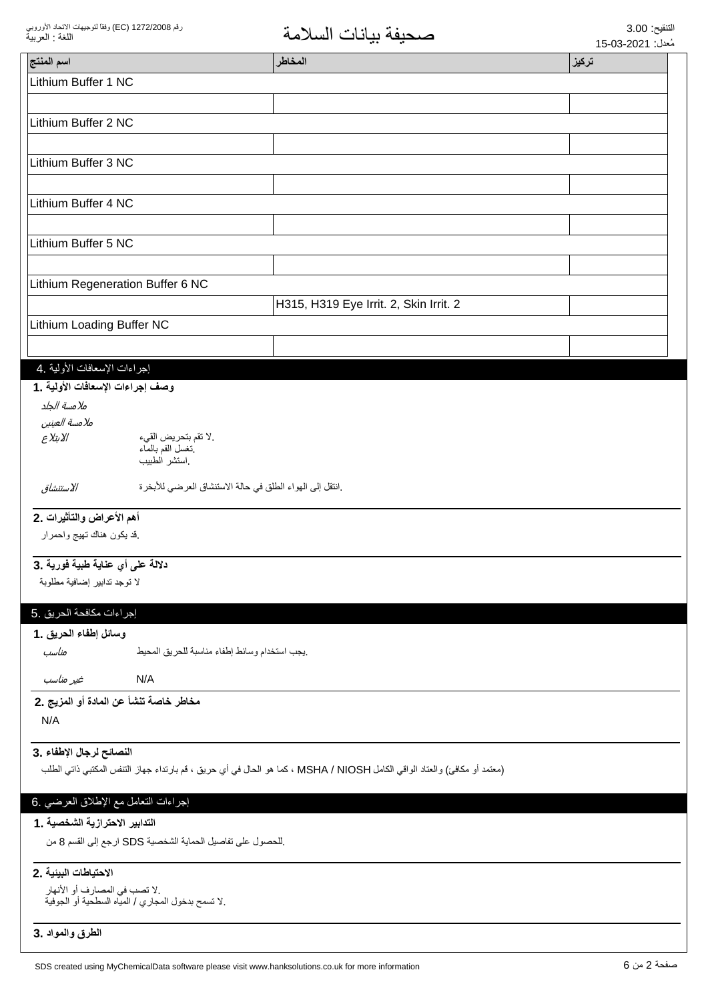| اسم المنتج                                                                                                                | المخاطر                                                  | تركيز |  |  |
|---------------------------------------------------------------------------------------------------------------------------|----------------------------------------------------------|-------|--|--|
| Lithium Buffer 1 NC                                                                                                       |                                                          |       |  |  |
|                                                                                                                           |                                                          |       |  |  |
| Lithium Buffer 2 NC                                                                                                       |                                                          |       |  |  |
|                                                                                                                           |                                                          |       |  |  |
| Lithium Buffer 3 NC                                                                                                       |                                                          |       |  |  |
|                                                                                                                           |                                                          |       |  |  |
| Lithium Buffer 4 NC                                                                                                       |                                                          |       |  |  |
|                                                                                                                           |                                                          |       |  |  |
| Lithium Buffer 5 NC                                                                                                       |                                                          |       |  |  |
|                                                                                                                           |                                                          |       |  |  |
| Lithium Regeneration Buffer 6 NC                                                                                          |                                                          |       |  |  |
|                                                                                                                           | H315, H319 Eye Irrit. 2, Skin Irrit. 2                   |       |  |  |
| Lithium Loading Buffer NC                                                                                                 |                                                          |       |  |  |
|                                                                                                                           |                                                          |       |  |  |
| إجراءات الإسعافات الأولية .4                                                                                              |                                                          |       |  |  |
| وصف إجراءات الإسعافات الأولية .1                                                                                          |                                                          |       |  |  |
| ملامسة الجلد                                                                                                              |                                                          |       |  |  |
| ملامسة العينين                                                                                                            |                                                          |       |  |  |
| الابتلاع<br>.لا تقم بتحريض القيء<br>نغسل الفم بالمآء<br>استشر الطبيب                                                      |                                                          |       |  |  |
| الاستنشاق                                                                                                                 | .انتقل إلى الهواء الطلق في حالة الاستنشاق العرضي للأبخرة |       |  |  |
| أهم الأعراض والتأثيرات .2                                                                                                 |                                                          |       |  |  |
| قد يكون هناك نهيج واحمرار                                                                                                 |                                                          |       |  |  |
| دلالة على أي عناية طبية فورية .3                                                                                          |                                                          |       |  |  |
| لا توجد تدابير إضافية مطلوبة                                                                                              |                                                          |       |  |  |
| إجراءات مكافحة الحريق .5                                                                                                  |                                                          |       |  |  |
| وسائل إطفاء الحريق .1                                                                                                     |                                                          |       |  |  |
| يجب استخدام وسائط إطفاء مناسبة للحريق المحيط<br>مناسب                                                                     |                                                          |       |  |  |
| N/A<br>غير مناسب                                                                                                          |                                                          |       |  |  |
| مخاطر خاصة تنشأ عن المادة أو المزيج .2                                                                                    |                                                          |       |  |  |
| N/A                                                                                                                       |                                                          |       |  |  |
| النصائح لرجال الإطفاء .3                                                                                                  |                                                          |       |  |  |
| (معتمد أو مكافئ) والعتاد الواقي الكامل MSHA / NIOSH ، كما هو الحال في أي حريق ، قم بارتداء جهاز التنفس المكتبي ذاتي الطلب |                                                          |       |  |  |
|                                                                                                                           |                                                          |       |  |  |
| إجراءات النعامل مع الإطلاق العرضي .6                                                                                      |                                                          |       |  |  |
| التدابير الاحترازية الشخصية . 1<br>للحصول على تفاصيل الحماية الشخصية SDS ارجع إلى القسم 8 من                              |                                                          |       |  |  |
| الاحتياطات البينية .2                                                                                                     |                                                          |       |  |  |
| .لا نصب في المصارف أو الأنهار<br>.لا تسمح بدخول المجاري / المياه السطحية أو الجوفية                                       |                                                          |       |  |  |
| الطرق والمواد .3                                                                                                          |                                                          |       |  |  |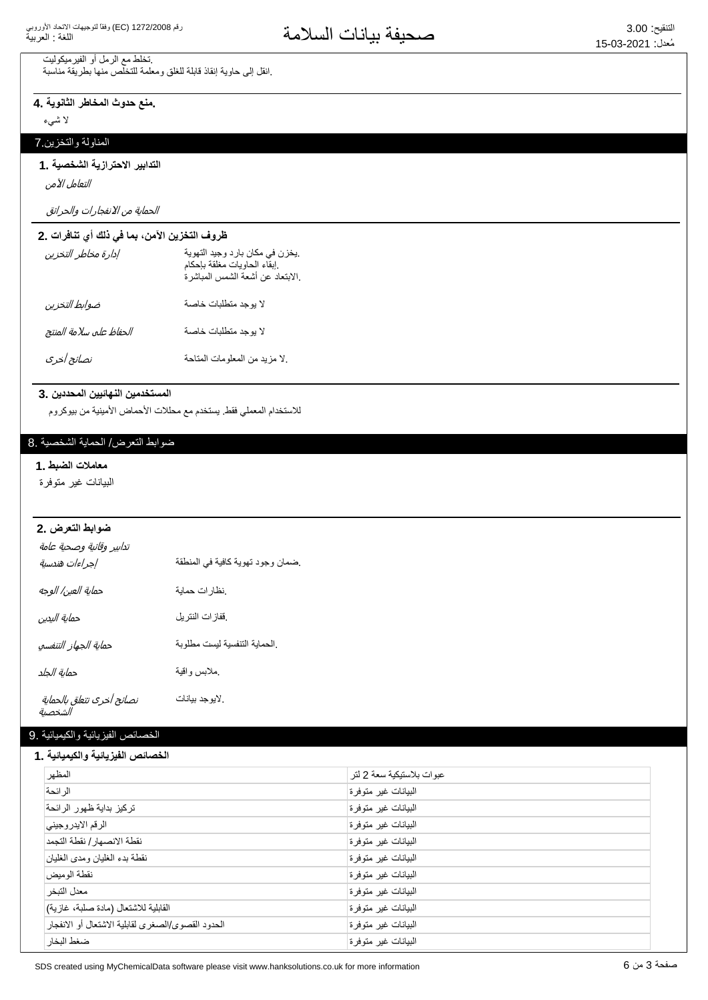تخلط مع الرمل أو الفيرميكوليت .انقل إلى حاوية إنقاذ قابلة للغلق ومعلمة للتخلص منها بطريقة مناسبة

منع حدوث المخاطر الثانوية .4

لا شيء

# المناولة والتخزين 7

#### التدابير الاحترازية الشخصية .1

التعامل الآمن

الحماية من الانفجارات والحرائق

### ظروف التخزين الآمن، بما في ذلك أي تنافرات .2

| إدارة مخاطر التخزين     | يخزن في مكان بارد وجيد التهوية.<br>إبقاء الحاويات مغلقة بإحكام.<br>إلابتعاد عن أشعة الشمس المباشرة. |
|-------------------------|-----------------------------------------------------------------------------------------------------|
| ضوابط التخزين           | لا بوجد متطلبات خاصة                                                                                |
| الحفاظ على سلامة المنتج | لا بوجد متطلبات خاصة                                                                                |
| نصائح أخرى              | لا مزيد من المعلومات المتاحة                                                                        |

#### المستخدمين النهائيين المحددين .3

للاستخدام المعملي فقط يستخدم مع محللات الأحماض الأمينية من بيوكروم

#### ضوابط التعرض/ الحماية الشخصية .8

#### معاملات الضبط .1

البيانات غير متوفرة

# **ضوابط التعرض .2**

| تدابير وقائية وصحية عامة<br>إجراءات هندسية | ضمان وجود تهوية كافية في المنطقة |
|--------------------------------------------|----------------------------------|
| حماية العين/ الوجه                         | نظارات حماية                     |
| حماية اليدين                               | ففازات النتريل                   |
| حماية الجهاز التنفسي                       | الحماية التنفسية ليست مطلوبة     |
| حماية الجلد                                | ملابس واقية                      |
| نصائح أخرى تتعلق بالحماية<br>الشخصية       | لايوجد بيانات                    |

#### الخصائص الفيزيائية والكيميائية .9

#### الخصائص الفزيائية والكيميائية **1**

| "" <del>"""</del> " <del>"""</del> "              |                            |  |
|---------------------------------------------------|----------------------------|--|
| المظهر                                            | عبو ات بلاستيكية سعة 2 لتر |  |
| الر ائحة                                          | البيانات غير متوفرة        |  |
| تركيز بداية ظهور الرائحة                          | البيانات غير متوفرة        |  |
| الرقم الايدروجيني                                 | البيانات غير متوفرة        |  |
| نقطة الانصهار / نقطة التجمد                       | البيانات غير متوفرة        |  |
| نقطة بدء الغليان ومدى الغليان                     | البيانات غير متوفرة        |  |
| نقطة الو ميض                                      | البيانات غير متوفرة        |  |
| معدل التبخر                                       | البيانات غير متوفرة        |  |
| القابلية للاشتعال (مادة صلبة، غازية)              | البيانات غير متوفرة        |  |
| الحدود القصوى/الصغرى لقابلية الاشتعال أو الانفجار | البيانات غير متوفرة        |  |
| ضغط البخار                                        | البيانات غير متوفرة        |  |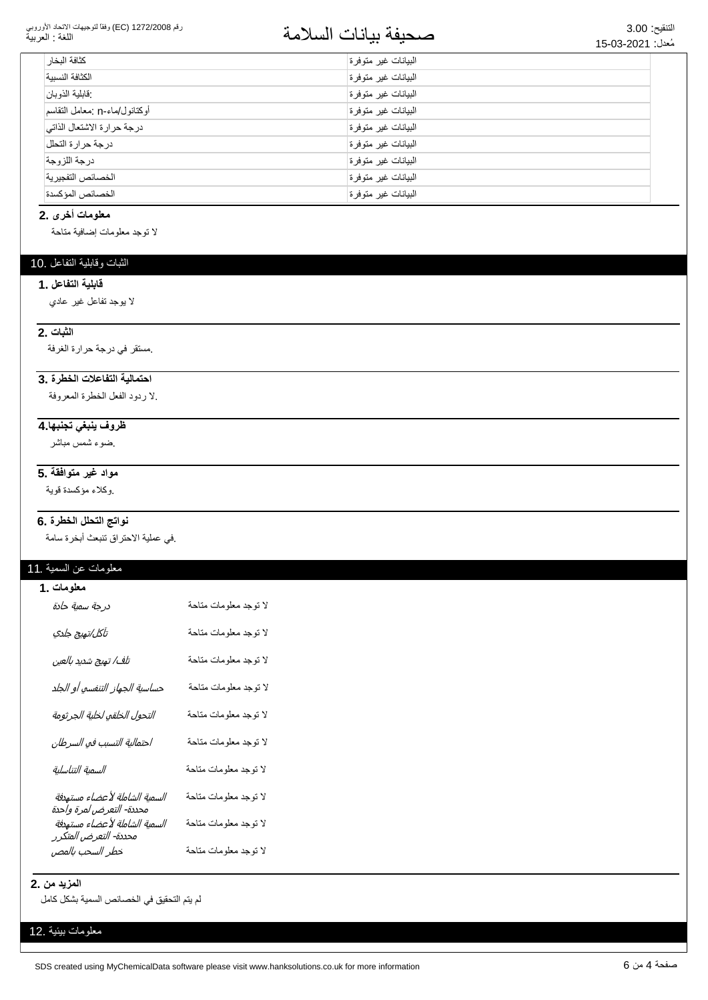#### رقم 1272/2008 (EC) وفقاً لتوجيهات الاتحاد الأوروبي اللغة : العربية

# التنقيع: 3.00<br>مُزار: 15,03-2021

| كثافة البخار                  | البيانات غير متوفرة |
|-------------------------------|---------------------|
| الكثافة النسببة               | البيانات غير متوفرة |
| فابلية الذوبان                | البيانات غير متوفرة |
| أوكتانول/ماء-n :معامل التقاسم | البيانات غير متوفرة |
| درجة حرارة الاشتعال الذاتي    | البيانات غير متوفرة |
| درجة حرارة التحلل             | البيانات غير متوفرة |
| درجة اللزوجة                  | البيانات غير متوفرة |
| الخصائص التفجير ية            | البيانات غير متوفرة |
| الخصائص المؤكسدة              | البيانات غير متوفرة |

# معلومات أخرى .2

لا توجد معلومات إضافية متاحة

# الثبات وقابلية التفاعل .10

#### قابلبة التفاعل . **1**

لا بوجد تفاعل غير عادي

### **2.** الثبات

مستقر في درجة حرارة الغرفة.

#### احتمالية التفاعلات الخطرة .3

لا ردود الفعل الخطرة المعروفة.

# ظروف ينبغي تجنبها.4

ضوء شمس مباشر

# مواد غير متوافقة .5

وكلاء مؤكسدة قوية

#### نواتج التحلل الخطرة .6

في عملية الاحتراق تتبعث أبخرة سامة.

# معلومات عن السمية .11

#### **معلومات .1**

| درجة سمية حادة                                            | لا توجد معلومات متاحة |
|-----------------------------------------------------------|-----------------------|
| تآكل/تهيج جلدي                                            | لا توجد معلومات متاحة |
| تلف/ تهيج شديد بالعين                                     | لا توجد معلومات متاحة |
| حساسية الجهاز التنفسي أو الجلد                            | لا توجد معلومات متاحة |
| التحول الخلقي لخلية الجرثومة                              | لا توجد معلومات متاحة |
| احتمالية التسبب في السرطان                                | لا توجد معلومات متاحة |
| السمية التناسلية                                          | لا توجد معلومات متاحة |
| السمية الشاملة لأعضاء مستهدفة<br>محددة- التعرض لمرة واحدة | لا توجد معلومات متاحة |
| السمية الشاملة لأعضاء مستهدفة<br>محددة- التعرض المتكرر    | لا توجد معلومات متاحة |
| خطر السحب بالمص                                           | لا توجد معلومات متاحة |

### **المزيد من .2**

لم يتم التحقيق في الخصائص السمية بشكل كامل

#### معلومات بيئية .12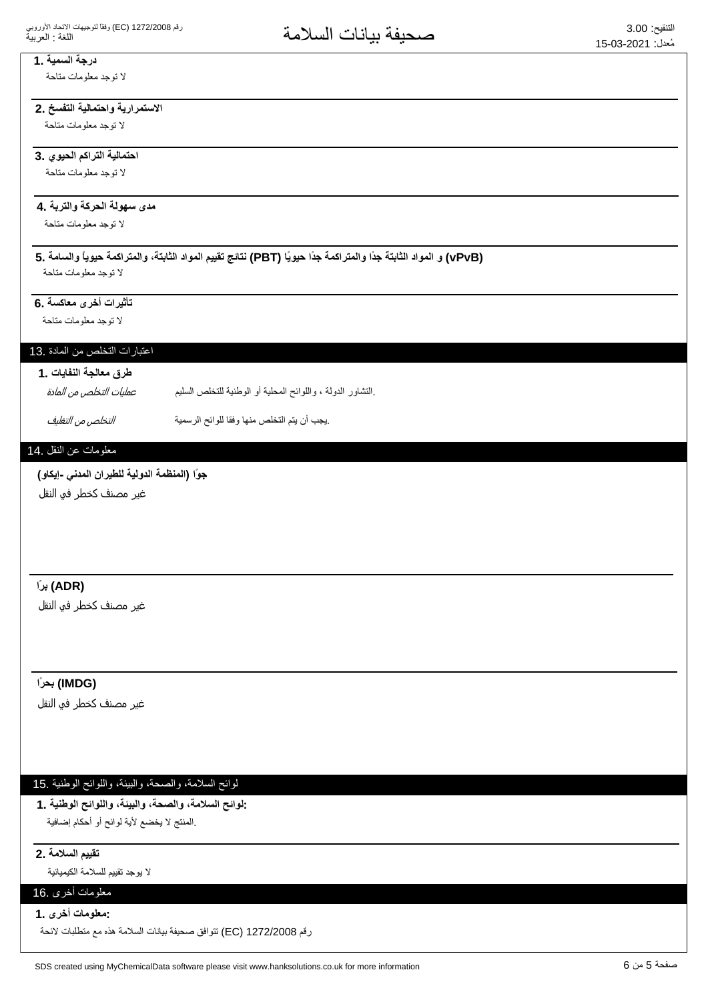#### **1.** درجة السمية لا توجد معلومات متاحة

# الاستمرارية واحتمالية التفسخ .2

لا توجد معلومات متاحة

#### احتمالية التراكم الحيوي .3

لا توجد معلومات متاحة

# مدى سهولة الحركة والتربة ـ4

لا توجد معلومات متاحة

#### (vPvB) و المواد الثابتة جدًا والمتراكمة جدًا حيويًا (PBT) نتائج تقييم المواد الثابتة، والمتراكمة حيوياً والسامة .5 لا توجد معلومات متاحة

تأثيرات أخرى معاكسة .6

لا توجد معلومات متاحة

### اعتبارات التخلص من المادة .13

# طرق معالجة النفايات **1**

.التشاور الدولة ، واللوائح المحلية أو الوطنية للتخلص السليم عمليات التخلص من المادة

ِيجِبِ أن يتم التخلص منها وفقا للوائح الرسمية (التجامع التفاه عن التف*ليف* 

### معلومات عن النقل .14

جوًا (المنظمة الدولية للطيرا*ن* المدن*ى -إيكاو)* 

غير مصنف كخطر في النقل

# **˱έΑ (ADR)**

غیر مصنف کخطر فو النقل

# **˱έΣΑ (IMDG)**

غير مصنف كخطر في النقل

# لوائح السلامة، والصحة، والبيئة، واللوائح الوطنية .15

**1. ΔϳϧρϭϟϭϠϟϭˬΔϳΑϟϭˬΔΣλϟϭˬΔϣϼγϟϭϟ:** المنتج لا يخضع لأية لوائح أو أحكام إضافية.

#### **2. ΔϣϼγϟϡϳϳϘΗ**

لا يوجد تقييم للسلامة الكيميائية

# معلومات أخرى .16

**1. ϯέΧΕΎϣϭϠόϣ:**

رقم 1272/2008 (EC) نتوافق صحيفة بيانات السلامة هذه مع متطلبات لائحة